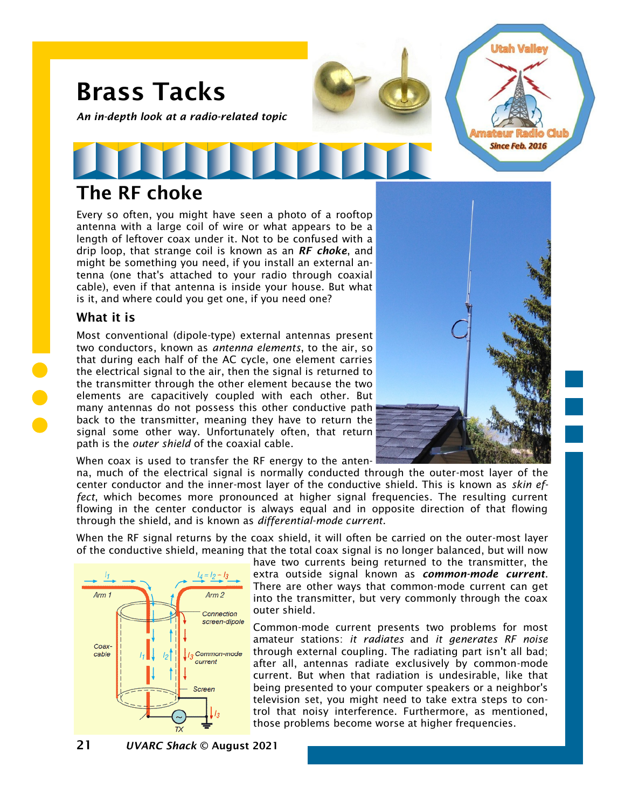

# The RF choke

Every so often, you might have seen a photo of a rooftop antenna with a large coil of wire or what appears to be a length of leftover coax under it. Not to be confused with a drip loop, that strange coil is known as an *RF choke*, and might be something you need, if you install an external antenna (one that's attached to your radio through coaxial cable), even if that antenna is inside your house. But what is it, and where could you get one, if you need one?

### What it is

Most conventional (dipole-type) external antennas present two conductors, known as *antenna elements*, to the air, so that during each half of the AC cycle, one element carries the electrical signal to the air, then the signal is returned to the transmitter through the other element because the two elements are capacitively coupled with each other. But many antennas do not possess this other conductive path back to the transmitter, meaning they have to return the signal some other way. Unfortunately often, that return path is the *outer shield* of the coaxial cable.

When coax is used to transfer the RF energy to the anten-

na, much of the electrical signal is normally conducted through the outer-most layer of the center conductor and the inner-most layer of the conductive shield. This is known as *skin effect*, which becomes more pronounced at higher signal frequencies. The resulting current flowing in the center conductor is always equal and in opposite direction of that flowing through the shield, and is known as *differential-mode current*.

When the RF signal returns by the coax shield, it will often be carried on the outer-most layer of the conductive shield, meaning that the total coax signal is no longer balanced, but will now



have two currents being returned to the transmitter, the extra outside signal known as *common-mode current*. There are other ways that common-mode current can get into the transmitter, but very commonly through the coax outer shield.

Common-mode current presents two problems for most amateur stations: *it radiates* and *it generates RF noise* through external coupling. The radiating part isn't all bad; after all, antennas radiate exclusively by common-mode current. But when that radiation is undesirable, like that being presented to your computer speakers or a neighbor's television set, you might need to take extra steps to control that noisy interference. Furthermore, as mentioned, those problems become worse at higher frequencies.

21 *UVARC Shack* © August 2021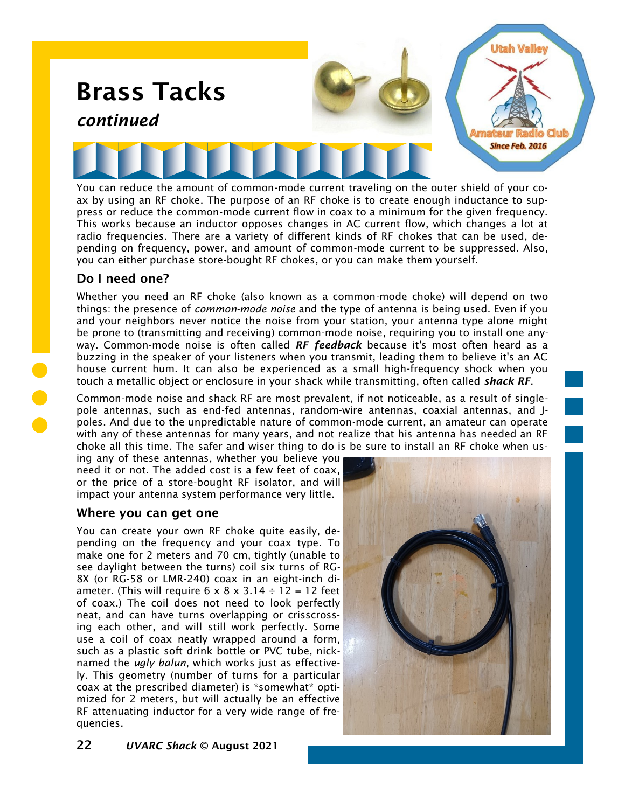

ax by using an RF choke. The purpose of an RF choke is to create enough inductance to suppress or reduce the common-mode current flow in coax to a minimum for the given frequency. This works because an inductor opposes changes in AC current flow, which changes a lot at radio frequencies. There are a variety of different kinds of RF chokes that can be used, depending on frequency, power, and amount of common-mode current to be suppressed. Also, you can either purchase store-bought RF chokes, or you can make them yourself.

## Do I need one?

Whether you need an RF choke (also known as a common-mode choke) will depend on two things: the presence of *common-mode noise* and the type of antenna is being used. Even if you and your neighbors never notice the noise from your station, your antenna type alone might be prone to (transmitting and receiving) common-mode noise, requiring you to install one anyway. Common-mode noise is often called *RF feedback* because it's most often heard as a buzzing in the speaker of your listeners when you transmit, leading them to believe it's an AC house current hum. It can also be experienced as a small high-frequency shock when you touch a metallic object or enclosure in your shack while transmitting, often called *shack RF*.

Common-mode noise and shack RF are most prevalent, if not noticeable, as a result of singlepole antennas, such as end-fed antennas, random-wire antennas, coaxial antennas, and Jpoles. And due to the unpredictable nature of common-mode current, an amateur can operate with any of these antennas for many years, and not realize that his antenna has needed an RF choke all this time. The safer and wiser thing to do is be sure to install an RF choke when us-

ing any of these antennas, whether you believe you need it or not. The added cost is a few feet of coax, or the price of a store-bought RF isolator, and will impact your antenna system performance very little.

## Where you can get one

You can create your own RF choke quite easily, depending on the frequency and your coax type. To make one for 2 meters and 70 cm, tightly (unable to see daylight between the turns) coil six turns of RG-8X (or RG-58 or LMR-240) coax in an eight-inch diameter. (This will require  $6 \times 8 \times 3.14 \div 12 = 12$  feet of coax.) The coil does not need to look perfectly neat, and can have turns overlapping or crisscrossing each other, and will still work perfectly. Some use a coil of coax neatly wrapped around a form, such as a plastic soft drink bottle or PVC tube, nicknamed the *ugly balun*, which works just as effectively. This geometry (number of turns for a particular coax at the prescribed diameter) is \*somewhat\* optimized for 2 meters, but will actually be an effective RF attenuating inductor for a very wide range of frequencies.